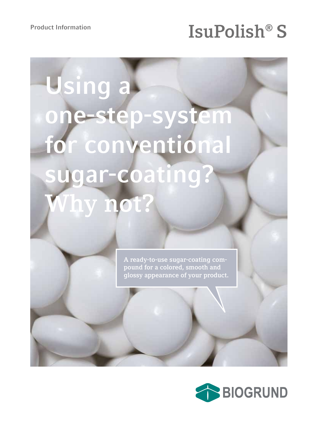## Product Information **IsuPolish<sup>®</sup> S**

# **Using a one-step-system for conventional sugar-coating? Why not?**

**A ready-to-use sugar-coating compound for a colored, smooth and glossy appearance of your product.**